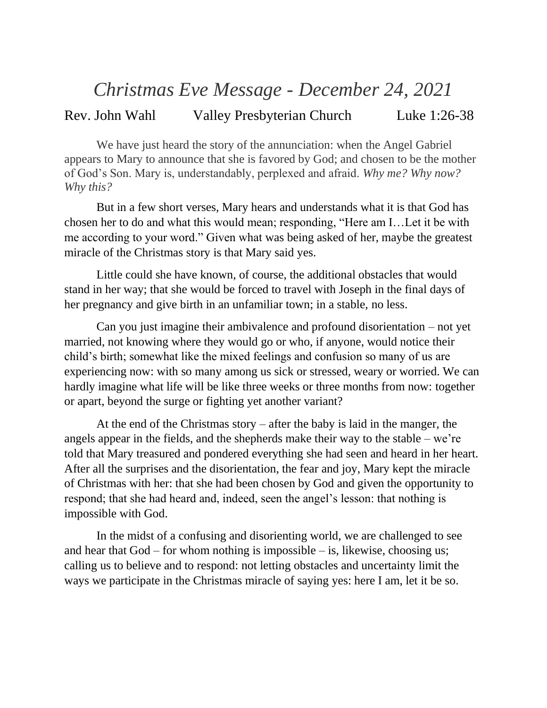## *Christmas Eve Message - December 24, 2021*

## Rev. John Wahl Valley Presbyterian Church Luke 1:26-38

We have just heard the story of the annunciation: when the Angel Gabriel appears to Mary to announce that she is favored by God; and chosen to be the mother of God's Son. Mary is, understandably, perplexed and afraid. *Why me? Why now? Why this?*

But in a few short verses, Mary hears and understands what it is that God has chosen her to do and what this would mean; responding, "Here am I…Let it be with me according to your word." Given what was being asked of her, maybe the greatest miracle of the Christmas story is that Mary said yes.

Little could she have known, of course, the additional obstacles that would stand in her way; that she would be forced to travel with Joseph in the final days of her pregnancy and give birth in an unfamiliar town; in a stable, no less.

Can you just imagine their ambivalence and profound disorientation – not yet married, not knowing where they would go or who, if anyone, would notice their child's birth; somewhat like the mixed feelings and confusion so many of us are experiencing now: with so many among us sick or stressed, weary or worried. We can hardly imagine what life will be like three weeks or three months from now: together or apart, beyond the surge or fighting yet another variant?

At the end of the Christmas story – after the baby is laid in the manger, the angels appear in the fields, and the shepherds make their way to the stable – we're told that Mary treasured and pondered everything she had seen and heard in her heart. After all the surprises and the disorientation, the fear and joy, Mary kept the miracle of Christmas with her: that she had been chosen by God and given the opportunity to respond; that she had heard and, indeed, seen the angel's lesson: that nothing is impossible with God.

In the midst of a confusing and disorienting world, we are challenged to see and hear that  $God - for whom nothing is impossible - is, likewise, choosing us;$ calling us to believe and to respond: not letting obstacles and uncertainty limit the ways we participate in the Christmas miracle of saying yes: here I am, let it be so.